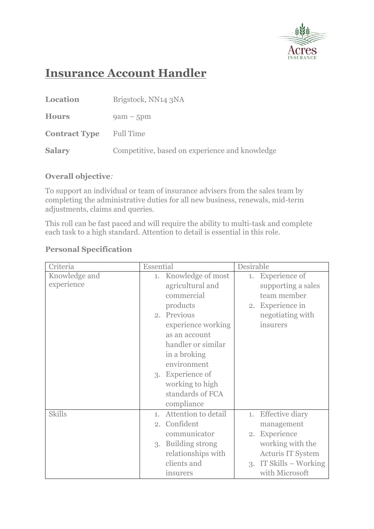

## **Insurance Account Handler**

| <b>Location</b>      | Brigstock, NN14 3NA                            |
|----------------------|------------------------------------------------|
| <b>Hours</b>         | $9am - 5pm$                                    |
| <b>Contract Type</b> | <b>Full Time</b>                               |
| <b>Salary</b>        | Competitive, based on experience and knowledge |

## **Overall objective***:*

To support an individual or team of insurance advisers from the sales team by completing the administrative duties for all new business, renewals, mid-term adjustments, claims and queries.

This roll can be fast paced and will require the ability to multi-task and complete each task to a high standard. Attention to detail is essential in this role.

## **Personal Specification**

| Criteria      | Essential              | Desirable                    |
|---------------|------------------------|------------------------------|
| Knowledge and | 1. Knowledge of most   | <b>Experience</b> of<br>1.   |
| experience    | agricultural and       | supporting a sales           |
|               | commercial             | team member                  |
|               | products               | 2. Experience in             |
|               | 2. Previous            | negotiating with             |
|               | experience working     | insurers                     |
|               | as an account          |                              |
|               | handler or similar     |                              |
|               | in a broking           |                              |
|               | environment            |                              |
|               | 3. Experience of       |                              |
|               | working to high        |                              |
|               | standards of FCA       |                              |
|               | compliance             |                              |
| <b>Skills</b> | 1. Attention to detail | <b>Effective diary</b><br>1. |
|               | 2. Confident           | management                   |
|               | communicator           | 2. Experience                |
|               | 3. Building strong     | working with the             |
|               | relationships with     | <b>Acturis IT System</b>     |
|               | clients and            | 3. IT Skills – Working       |
|               | insurers               | with Microsoft               |